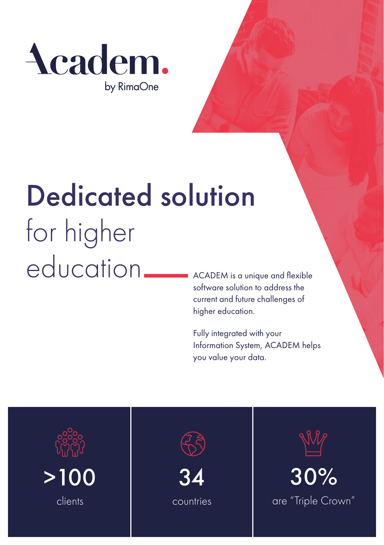

# Dedicated solution for higher education

ACADEM is a unique and flexible software solution to address the current and future challenges of higher education.

Fully integrated with your Information System, ACADEM helps you value your data.







countries